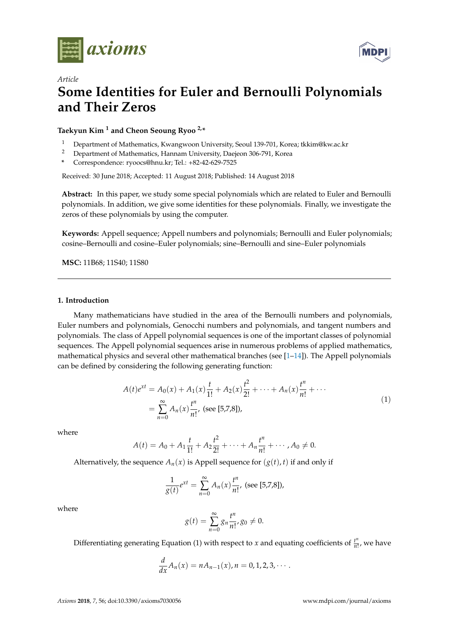

*Article*



# **Some Identities for Euler and Bernoulli Polynomials and Their Zeros**

**Taekyun Kim <sup>1</sup> and Cheon Seoung Ryoo 2,\***

- <sup>1</sup> Department of Mathematics, Kwangwoon University, Seoul 139-701, Korea; tkkim@kw.ac.kr
- <sup>2</sup> Department of Mathematics, Hannam University, Daejeon 306-791, Korea
- **\*** Correspondence: ryoocs@hnu.kr; Tel.: +82-42-629-7525

Received: 30 June 2018; Accepted: 11 August 2018; Published: 14 August 2018

**Abstract:** In this paper, we study some special polynomials which are related to Euler and Bernoulli polynomials. In addition, we give some identities for these polynomials. Finally, we investigate the zeros of these polynomials by using the computer.

**Keywords:** Appell sequence; Appell numbers and polynomials; Bernoulli and Euler polynomials; cosine–Bernoulli and cosine–Euler polynomials; sine–Bernoulli and sine–Euler polynomials

**MSC:** 11B68; 11S40; 11S80

## **1. Introduction**

Many mathematicians have studied in the area of the Bernoulli numbers and polynomials, Euler numbers and polynomials, Genocchi numbers and polynomials, and tangent numbers and polynomials. The class of Appell polynomial sequences is one of the important classes of polynomial sequences. The Appell polynomial sequences arise in numerous problems of applied mathematics, mathematical physics and several other mathematical branches (see  $[1-14]$  $[1-14]$ ). The Appell polynomials can be defined by considering the following generating function:

$$
A(t)e^{xt} = A_0(x) + A_1(x)\frac{t}{1!} + A_2(x)\frac{t^2}{2!} + \dots + A_n(x)\frac{t^n}{n!} + \dots
$$
  
= 
$$
\sum_{n=0}^{\infty} A_n(x)\frac{t^n}{n!}, \text{ (see [5,7,8]),}
$$
 (1)

where

$$
A(t) = A_0 + A_1 \frac{t}{1!} + A_2 \frac{t^2}{2!} + \cdots + A_n \frac{t^n}{n!} + \cdots, A_0 \neq 0.
$$

Alternatively, the sequence  $A_n(x)$  is Appell sequence for  $(g(t), t)$  if and only if

$$
\frac{1}{g(t)}e^{xt} = \sum_{n=0}^{\infty} A_n(x) \frac{t^n}{n!}, \text{ (see [5,7,8]),}
$$

where

$$
g(t) = \sum_{n=0}^{\infty} g_n \frac{t^n}{n!}, g_0 \neq 0.
$$

Differentiating generating Equation (1) with respect to *x* and equating coefficients of  $\frac{t^n}{n}$  $\frac{r}{n!}$ , we have

$$
\frac{d}{dx}A_n(x) = nA_{n-1}(x), n = 0, 1, 2, 3, \cdots.
$$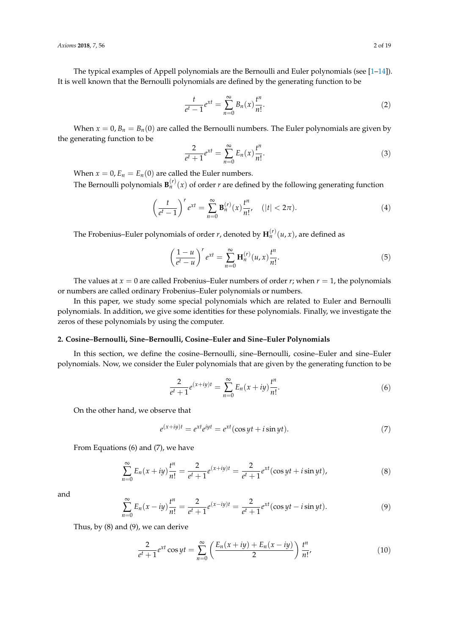The typical examples of Appell polynomials are the Bernoulli and Euler polynomials (see [\[1–](#page-18-0)[14\]](#page-18-1)). It is well known that the Bernoulli polynomials are defined by the generating function to be

$$
\frac{t}{e^t - 1} e^{xt} = \sum_{n=0}^{\infty} B_n(x) \frac{t^n}{n!}.
$$
 (2)

When  $x = 0$ ,  $B_n = B_n(0)$  are called the Bernoulli numbers. The Euler polynomials are given by the generating function to be

$$
\frac{2}{e^t + 1} e^{xt} = \sum_{n=0}^{\infty} E_n(x) \frac{t^n}{n!}.
$$
 (3)

When  $x = 0$ ,  $E_n = E_n(0)$  are called the Euler numbers.

The Bernoulli polynomials  $\mathbf{B}_n^{(r)}(x)$  of order *r* are defined by the following generating function

$$
\left(\frac{t}{e^t-1}\right)^r e^{xt} = \sum_{n=0}^{\infty} \mathbf{B}_n^{(r)}(x) \frac{t^n}{n!}, \quad (|t| < 2\pi). \tag{4}
$$

The Frobenius–Euler polynomials of order  $r$ , denoted by  $\mathbf{H}_n^{(r)}(u,x)$ , are defined as

$$
\left(\frac{1-u}{e^t-u}\right)^r e^{xt} = \sum_{n=0}^{\infty} \mathbf{H}_n^{(r)}(u,x) \frac{t^n}{n!}.
$$
\n
$$
(5)
$$

The values at  $x = 0$  are called Frobenius–Euler numbers of order  $r$ ; when  $r = 1$ , the polynomials or numbers are called ordinary Frobenius–Euler polynomials or numbers.

In this paper, we study some special polynomials which are related to Euler and Bernoulli polynomials. In addition, we give some identities for these polynomials. Finally, we investigate the zeros of these polynomials by using the computer.

#### **2. Cosine–Bernoulli, Sine–Bernoulli, Cosine–Euler and Sine–Euler Polynomials**

In this section, we define the cosine–Bernoulli, sine–Bernoulli, cosine–Euler and sine–Euler polynomials. Now, we consider the Euler polynomials that are given by the generating function to be

$$
\frac{2}{e^t+1}e^{(x+iy)t} = \sum_{n=0}^{\infty} E_n(x+iy)\frac{t^n}{n!}.
$$
 (6)

On the other hand, we observe that

$$
e^{(x+iy)t} = e^{xt}e^{iyt} = e^{xt}(\cos yt + i\sin yt).
$$
\n(7)

From Equations (6) and (7), we have

$$
\sum_{n=0}^{\infty} E_n(x+iy)\frac{t^n}{n!} = \frac{2}{e^t+1}e^{(x+iy)t} = \frac{2}{e^t+1}e^{xt}(\cos yt + i\sin yt),
$$
\n(8)

and

$$
\sum_{n=0}^{\infty} E_n(x - iy) \frac{t^n}{n!} = \frac{2}{e^t + 1} e^{(x - iy)t} = \frac{2}{e^t + 1} e^{xt} (\cos yt - i \sin yt).
$$
 (9)

Thus, by (8) and (9), we can derive

$$
\frac{2}{e^t + 1} e^{xt} \cos yt = \sum_{n=0}^{\infty} \left( \frac{E_n(x + iy) + E_n(x - iy)}{2} \right) \frac{t^n}{n!},
$$
(10)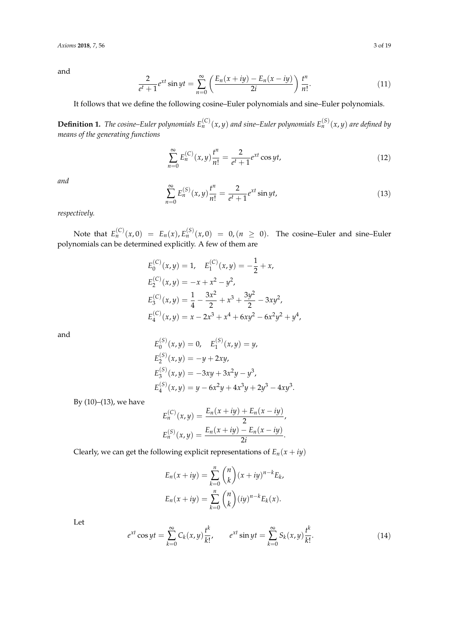$$
\frac{2}{e^t + 1} e^{xt} \sin yt = \sum_{n=0}^{\infty} \left( \frac{E_n(x + iy) - E_n(x - iy)}{2i} \right) \frac{t^n}{n!}.
$$
 (11)

It follows that we define the following cosine–Euler polynomials and sine–Euler polynomials.

**Definition 1.** The cosine–Euler polynomials  $E_n^{(C)}(x,y)$  and sine–Euler polynomials  $E_n^{(S)}(x,y)$  are defined by *means of the generating functions*

$$
\sum_{n=0}^{\infty} E_n^{(C)}(x, y) \frac{t^n}{n!} = \frac{2}{e^t + 1} e^{xt} \cos yt,
$$
\n(12)

*and*

$$
\sum_{n=0}^{\infty} E_n^{(S)}(x, y) \frac{t^n}{n!} = \frac{2}{e^t + 1} e^{xt} \sin yt,
$$
\n(13)

*respectively.*

Note that  $E_n^{(C)}(x,0) = E_n(x), E_n^{(S)}(x,0) = 0, (n \ge 0)$ . The cosine–Euler and sine–Euler polynomials can be determined explicitly. A few of them are

$$
E_0^{(C)}(x,y) = 1, \quad E_1^{(C)}(x,y) = -\frac{1}{2} + x,
$$
  
\n
$$
E_2^{(C)}(x,y) = -x + x^2 - y^2,
$$
  
\n
$$
E_3^{(C)}(x,y) = \frac{1}{4} - \frac{3x^2}{2} + x^3 + \frac{3y^2}{2} - 3xy^2,
$$
  
\n
$$
E_4^{(C)}(x,y) = x - 2x^3 + x^4 + 6xy^2 - 6x^2y^2 + y^4,
$$

and

$$
E_0^{(S)}(x,y) = 0, \quad E_1^{(S)}(x,y) = y,
$$
  
\n
$$
E_2^{(S)}(x,y) = -y + 2xy,
$$
  
\n
$$
E_3^{(S)}(x,y) = -3xy + 3x^2y - y^3,
$$
  
\n
$$
E_4^{(S)}(x,y) = y - 6x^2y + 4x^3y + 2y^3 - 4xy^3.
$$

By (10)–(13), we have

$$
E_n^{(C)}(x,y) = \frac{E_n(x+iy) + E_n(x-iy)}{2},
$$
  
\n
$$
E_n^{(S)}(x,y) = \frac{E_n(x+iy) - E_n(x-iy)}{2i}.
$$

Clearly, we can get the following explicit representations of  $E_n(x + iy)$ 

$$
E_n(x+iy) = \sum_{k=0}^n {n \choose k} (x+iy)^{n-k} E_k,
$$
  

$$
E_n(x+iy) = \sum_{k=0}^n {n \choose k} (iy)^{n-k} E_k(x).
$$

Let

$$
e^{xt}\cos yt = \sum_{k=0}^{\infty} C_k(x,y) \frac{t^k}{k!}, \qquad e^{xt}\sin yt = \sum_{k=0}^{\infty} S_k(x,y) \frac{t^k}{k!}.
$$
 (14)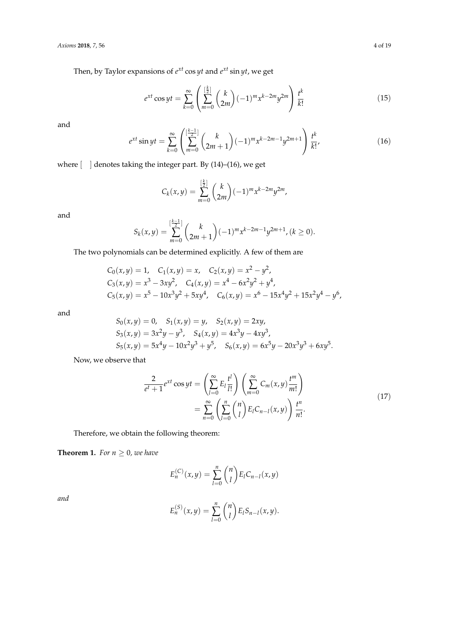Then, by Taylor expansions of *e xt* cos *yt* and *e xt* sin *yt*, we get

$$
e^{xt}\cos yt = \sum_{k=0}^{\infty} \left(\sum_{m=0}^{\lfloor \frac{k}{2} \rfloor} {k \choose 2m} (-1)^m x^{k-2m} y^{2m}\right) \frac{t^k}{k!}
$$
(15)

and

$$
e^{xt}\sin yt = \sum_{k=0}^{\infty} \left(\sum_{m=0}^{\lfloor \frac{k-1}{2} \rfloor} {k \choose 2m+1} (-1)^m x^{k-2m-1} y^{2m+1}\right) \frac{t^k}{k!},\tag{16}
$$

where  $\lbrack \quad \rbrack$  denotes taking the integer part. By (14)–(16), we get

$$
C_k(x,y) = \sum_{m=0}^{\lfloor \frac{k}{2} \rfloor} {k \choose 2m} (-1)^m x^{k-2m} y^{2m},
$$

and

$$
S_k(x,y) = \sum_{m=0}^{\left[\frac{k-1}{2}\right]} \binom{k}{2m+1} (-1)^m x^{k-2m-1} y^{2m+1}, (k \ge 0).
$$

The two polynomials can be determined explicitly. A few of them are

$$
C_0(x,y) = 1, \quad C_1(x,y) = x, \quad C_2(x,y) = x^2 - y^2,
$$
  
\n
$$
C_3(x,y) = x^3 - 3xy^2, \quad C_4(x,y) = x^4 - 6x^2y^2 + y^4,
$$
  
\n
$$
C_5(x,y) = x^5 - 10x^3y^2 + 5xy^4, \quad C_6(x,y) = x^6 - 15x^4y^2 + 15x^2y^4 - y^6,
$$

and

$$
S_0(x, y) = 0, \quad S_1(x, y) = y, \quad S_2(x, y) = 2xy,
$$
  
\n
$$
S_3(x, y) = 3x^2y - y^3, \quad S_4(x, y) = 4x^3y - 4xy^3,
$$
  
\n
$$
S_5(x, y) = 5x^4y - 10x^2y^3 + y^5, \quad S_6(x, y) = 6x^5y - 20x^3y^3 + 6xy^5.
$$

Now, we observe that

$$
\frac{2}{e^t + 1} e^{xt} \cos yt = \left(\sum_{l=0}^{\infty} E_l \frac{t^l}{l!} \right) \left(\sum_{m=0}^{\infty} C_m(x, y) \frac{t^m}{m!} \right)
$$

$$
= \sum_{n=0}^{\infty} \left(\sum_{l=0}^n {n \choose l} E_l C_{n-l}(x, y) \right) \frac{t^n}{n!}.
$$
(17)

Therefore, we obtain the following theorem:

**Theorem 1.** *For*  $n \geq 0$ *, we have* 

$$
E_n^{(C)}(x,y) = \sum_{l=0}^n \binom{n}{l} E_l C_{n-l}(x,y)
$$

$$
E_n^{(S)}(x,y) = \sum_{l=0}^n \binom{n}{l} E_l S_{n-l}(x,y).
$$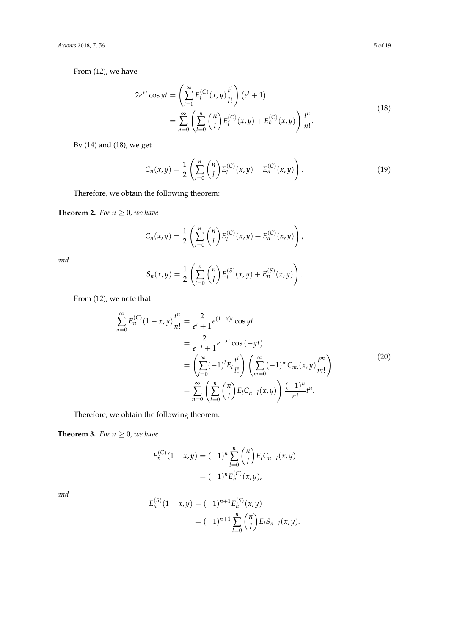From (12), we have

$$
2e^{xt}\cos yt = \left(\sum_{l=0}^{\infty} E_l^{(C)}(x, y)\frac{t^l}{l!}\right)(e^t + 1)
$$
  
= 
$$
\sum_{n=0}^{\infty} \left(\sum_{l=0}^n {n \choose l} E_l^{(C)}(x, y) + E_n^{(C)}(x, y)\right) \frac{t^n}{n!}.
$$
 (18)

By (14) and (18), we get

$$
C_n(x,y) = \frac{1}{2} \left( \sum_{l=0}^n \binom{n}{l} E_l^{(C)}(x,y) + E_n^{(C)}(x,y) \right). \tag{19}
$$

Therefore, we obtain the following theorem:

**Theorem 2.** *For*  $n \geq 0$ *, we have* 

$$
C_n(x,y) = \frac{1}{2} \left( \sum_{l=0}^n {n \choose l} E_l^{(C)}(x,y) + E_n^{(C)}(x,y) \right),
$$

*and*

$$
S_n(x,y) = \frac{1}{2} \left( \sum_{l=0}^n \binom{n}{l} E_l^{(S)}(x,y) + E_n^{(S)}(x,y) \right).
$$

From (12), we note that

$$
\sum_{n=0}^{\infty} E_n^{(C)} (1 - x, y) \frac{t^n}{n!} = \frac{2}{e^t + 1} e^{(1 - x)t} \cos yt
$$
  
\n
$$
= \frac{2}{e^{-t} + 1} e^{-xt} \cos (-yt)
$$
  
\n
$$
= \left( \sum_{l=0}^{\infty} (-1)^l E_l \frac{t^l}{l!} \right) \left( \sum_{m=0}^{\infty} (-1)^m C_{m}(x, y) \frac{t^m}{m!} \right)
$$
  
\n
$$
= \sum_{n=0}^{\infty} \left( \sum_{l=0}^n {n \choose l} E_l C_{n-l}(x, y) \right) \frac{(-1)^n}{n!} t^n.
$$
 (20)

Therefore, we obtain the following theorem:

**Theorem 3.** *For*  $n \geq 0$ *, we have* 

$$
E_n^{(C)}(1-x,y) = (-1)^n \sum_{l=0}^n \binom{n}{l} E_l C_{n-l}(x,y)
$$
  
=  $(-1)^n E_n^{(C)}(x,y),$ 

$$
E_n^{(S)}(1-x,y) = (-1)^{n+1} E_n^{(S)}(x,y)
$$
  
=  $(-1)^{n+1} \sum_{l=0}^n {n \choose l} E_l S_{n-l}(x,y).$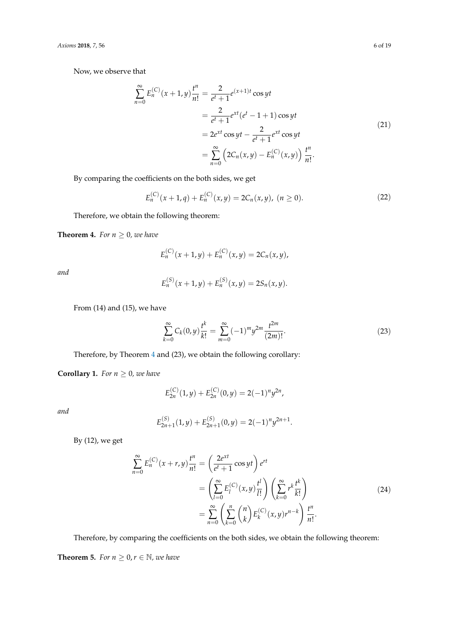Now, we observe that

$$
\sum_{n=0}^{\infty} E_n^{(C)}(x+1,y) \frac{t^n}{n!} = \frac{2}{e^t+1} e^{(x+1)t} \cos yt
$$
  

$$
= \frac{2}{e^t+1} e^{xt} (e^t - 1 + 1) \cos yt
$$
  

$$
= 2e^{xt} \cos yt - \frac{2}{e^t+1} e^{xt} \cos yt
$$
  

$$
= \sum_{n=0}^{\infty} \left( 2C_n(x,y) - E_n^{(C)}(x,y) \right) \frac{t^n}{n!}.
$$
 (21)

By comparing the coefficients on the both sides, we get

$$
E_n^{(C)}(x+1,q) + E_n^{(C)}(x,y) = 2C_n(x,y), \ (n \ge 0).
$$
 (22)

Therefore, we obtain the following theorem:

<span id="page-5-0"></span>**Theorem 4.** *For*  $n \geq 0$ *, we have* 

$$
E_n^{(C)}(x+1,y)+E_n^{(C)}(x,y)=2C_n(x,y),
$$

*and*

$$
E_n^{(S)}(x+1,y)+E_n^{(S)}(x,y)=2S_n(x,y).
$$

From (14) and (15), we have

$$
\sum_{k=0}^{\infty} C_k(0, y) \frac{t^k}{k!} = \sum_{m=0}^{\infty} (-1)^m y^{2m} \frac{t^{2m}}{(2m)!}.
$$
 (23)

Therefore, by Theorem [4](#page-5-0) and (23), we obtain the following corollary:

**Corollary 1.** *For*  $n \geq 0$ *, we have* 

$$
E_{2n}^{(C)}(1,y) + E_{2n}^{(C)}(0,y) = 2(-1)^n y^{2n},
$$

*and*

$$
E_{2n+1}^{(S)}(1,y) + E_{2n+1}^{(S)}(0,y) = 2(-1)^n y^{2n+1}.
$$

By (12), we get

$$
\sum_{n=0}^{\infty} E_n^{(C)}(x+r,y) \frac{t^n}{n!} = \left(\frac{2e^{xt}}{e^t+1} \cos yt\right) e^{rt}
$$

$$
= \left(\sum_{l=0}^{\infty} E_l^{(C)}(x,y) \frac{t^l}{l!} \right) \left(\sum_{k=0}^{\infty} r^k \frac{t^k}{k!} \right)
$$

$$
= \sum_{n=0}^{\infty} \left(\sum_{k=0}^n {n \choose k} E_k^{(C)}(x,y) r^{n-k} \right) \frac{t^n}{n!}.
$$
 (24)

Therefore, by comparing the coefficients on the both sides, we obtain the following theorem:

<span id="page-5-1"></span>**Theorem 5.** *For*  $n \geq 0, r \in \mathbb{N}$ *, we have*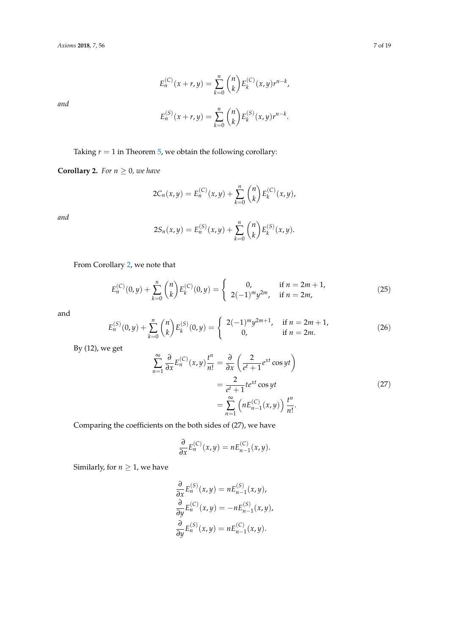$$
E_n^{(C)}(x+r,y) = \sum_{k=0}^n {n \choose k} E_k^{(C)}(x,y)r^{n-k},
$$

$$
E_n^{(S)}(x+r,y) = \sum_{k=0}^n {n \choose k} E_k^{(S)}(x,y)r^{n-k}.
$$

Taking  $r = 1$  in Theorem [5,](#page-5-1) we obtain the following corollary:

<span id="page-6-0"></span>**Corollary 2.** *For*  $n \geq 0$ *, we have* 

$$
2C_n(x,y) = E_n^{(C)}(x,y) + \sum_{k=0}^n {n \choose k} E_k^{(C)}(x,y),
$$

*and*

$$
2S_n(x,y) = E_n^{(S)}(x,y) + \sum_{k=0}^n {n \choose k} E_k^{(S)}(x,y).
$$

From Corollary [2,](#page-6-0) we note that

$$
E_n^{(C)}(0,y) + \sum_{k=0}^n \binom{n}{k} E_k^{(C)}(0,y) = \begin{cases} 0, & \text{if } n = 2m+1, \\ 2(-1)^m y^{2m}, & \text{if } n = 2m, \end{cases} \tag{25}
$$

and

$$
E_n^{(S)}(0,y) + \sum_{k=0}^n \binom{n}{k} E_k^{(S)}(0,y) = \begin{cases} 2(-1)^m y^{2m+1}, & \text{if } n = 2m+1, \\ 0, & \text{if } n = 2m. \end{cases}
$$
 (26)

By (12), we get

$$
\sum_{n=1}^{\infty} \frac{\partial}{\partial x} E_n^{(C)}(x, y) \frac{t^n}{n!} = \frac{\partial}{\partial x} \left( \frac{2}{e^t + 1} e^{xt} \cos yt \right)
$$

$$
= \frac{2}{e^t + 1} t e^{xt} \cos yt
$$

$$
= \sum_{n=1}^{\infty} \left( n E_{n-1}^{(C)}(x, y) \right) \frac{t^n}{n!}.
$$
 (27)

Comparing the coefficients on the both sides of (27), we have

$$
\frac{\partial}{\partial x} E_n^{(C)}(x,y) = n E_{n-1}^{(C)}(x,y).
$$

Similarly, for  $n \geq 1$ , we have

$$
\frac{\partial}{\partial x} E_n^{(S)}(x, y) = n E_{n-1}^{(S)}(x, y),
$$
  
\n
$$
\frac{\partial}{\partial y} E_n^{(C)}(x, y) = -n E_{n-1}^{(S)}(x, y),
$$
  
\n
$$
\frac{\partial}{\partial y} E_n^{(S)}(x, y) = n E_{n-1}^{(C)}(x, y).
$$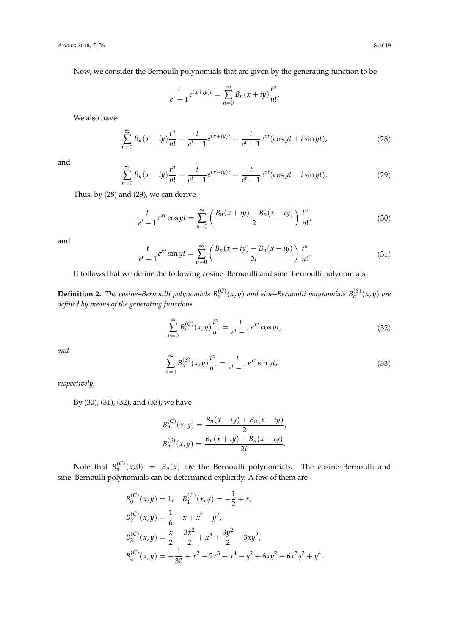Now, we consider the Bernoulli polynomials that are given by the generating function to be

$$
\frac{t}{e^t - 1} e^{(x+iy)t} = \sum_{n=0}^{\infty} B_n(x+iy) \frac{t^n}{n!}.
$$

We also have

$$
\sum_{n=0}^{\infty} B_n(x+iy)\frac{t^n}{n!} = \frac{t}{e^t - 1}e^{(x+iy)t} = \frac{t}{e^t - 1}e^{xt}(\cos yt + i\sin yt),
$$
\n(28)

and

$$
\sum_{n=0}^{\infty} B_n(x - iy) \frac{t^n}{n!} = \frac{t}{e^t - 1} e^{(x - iy)t} = \frac{t}{e^t - 1} e^{xt} (\cos yt - i \sin yt).
$$
 (29)

Thus, by (28) and (29), we can derive

$$
\frac{t}{e^t - 1} e^{xt} \cos yt = \sum_{n=0}^{\infty} \left( \frac{B_n(x + iy) + B_n(x - iy)}{2} \right) \frac{t^n}{n!},
$$
 (30)

and

$$
\frac{t}{e^t - 1} e^{xt} \sin yt = \sum_{n=0}^{\infty} \left( \frac{B_n(x + iy) - B_n(x - iy)}{2i} \right) \frac{t^n}{n!}.
$$
 (31)

It follows that we define the following cosine–Bernoulli and sine–Bernoulli polynomials.

**Definition 2.** The cosine–Bernoulli polynomials  $B_n^{(C)}(x,y)$  and sine–Bernoulli polynomials  $B_n^{(S)}(x,y)$  are *defined by means of the generating functions*

$$
\sum_{n=0}^{\infty} B_n^{(C)}(x, y) \frac{t^n}{n!} = \frac{t}{e^t - 1} e^{xt} \cos yt,
$$
\n(32)

*and*

$$
\sum_{n=0}^{\infty} B_n^{(S)}(x, y) \frac{t^n}{n!} = \frac{t}{e^t - 1} e^{xt} \sin yt,
$$
\n(33)

*respectively.*

By (30), (31), (32), and (33), we have

$$
B_n^{(C)}(x,y) = \frac{B_n(x+iy) + B_n(x-iy)}{2},
$$
  
\n
$$
B_n^{(S)}(x,y) = \frac{B_n(x+iy) - B_n(x-iy)}{2i}.
$$

Note that  $B_n^{(C)}(x,0) = B_n(x)$  are the Bernoulli polynomials. The cosine–Bernoulli and sine–Bernoulli polynomials can be determined explicitly. A few of them are

$$
B_0^{(C)}(x,y) = 1, \quad B_1^{(C)}(x,y) = -\frac{1}{2} + x,
$$
  
\n
$$
B_2^{(C)}(x,y) = \frac{1}{6} - x + x^2 - y^2,
$$
  
\n
$$
B_3^{(C)}(x,y) = \frac{x}{2} - \frac{3x^2}{2} + x^3 + \frac{3y^2}{2} - 3xy^2,
$$
  
\n
$$
B_4^{(C)}(x,y) = -\frac{1}{30} + x^2 - 2x^3 + x^4 - y^2 + 6xy^2 - 6x^2y^2 + y^4,
$$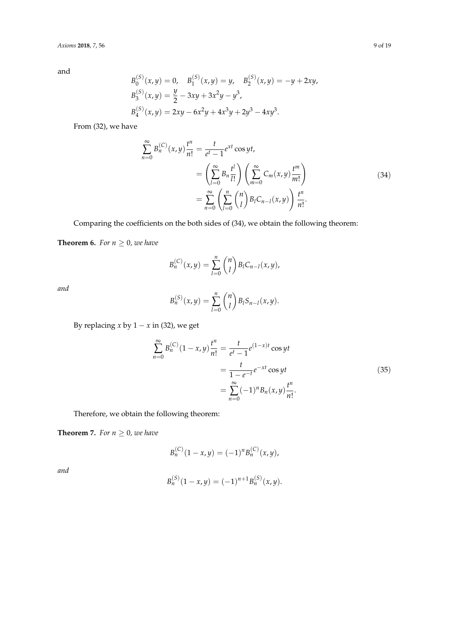$$
B_0^{(S)}(x,y) = 0, \quad B_1^{(S)}(x,y) = y, \quad B_2^{(S)}(x,y) = -y + 2xy,
$$
  
\n
$$
B_3^{(S)}(x,y) = \frac{y}{2} - 3xy + 3x^2y - y^3,
$$
  
\n
$$
B_4^{(S)}(x,y) = 2xy - 6x^2y + 4x^3y + 2y^3 - 4xy^3.
$$

From (32), we have

$$
\sum_{n=0}^{\infty} B_n^{(C)}(x, y) \frac{t^n}{n!} = \frac{t}{e^t - 1} e^{xt} \cos yt,\n= \left( \sum_{l=0}^{\infty} B_n \frac{t^l}{l!} \right) \left( \sum_{m=0}^{\infty} C_m(x, y) \frac{t^m}{m!} \right)\n= \sum_{n=0}^{\infty} \left( \sum_{l=0}^n {n \choose l} B_l C_{n-l}(x, y) \right) \frac{t^n}{n!}.
$$
\n(34)

Comparing the coefficients on the both sides of (34), we obtain the following theorem:

**Theorem 6.** *For*  $n \geq 0$ *, we have* 

$$
B_n^{(C)}(x,y) = \sum_{l=0}^n \binom{n}{l} B_l C_{n-l}(x,y),
$$

*and*

$$
B_n^{(S)}(x,y) = \sum_{l=0}^n \binom{n}{l} B_l S_{n-l}(x,y).
$$

By replacing *x* by 1 − *x* in (32), we get

$$
\sum_{n=0}^{\infty} B_n^{(C)} (1 - x, y) \frac{t^n}{n!} = \frac{t}{e^t - 1} e^{(1 - x)t} \cos yt
$$
  
= 
$$
\frac{t}{1 - e^{-t}} e^{-xt} \cos yt
$$
  
= 
$$
\sum_{n=0}^{\infty} (-1)^n B_n(x, y) \frac{t^n}{n!}.
$$
 (35)

Therefore, we obtain the following theorem:

**Theorem 7.** *For*  $n \geq 0$ *, we have* 

$$
B_n^{(C)}(1-x,y) = (-1)^n B_n^{(C)}(x,y),
$$

$$
B_n^{(S)}(1-x,y) = (-1)^{n+1} B_n^{(S)}(x,y).
$$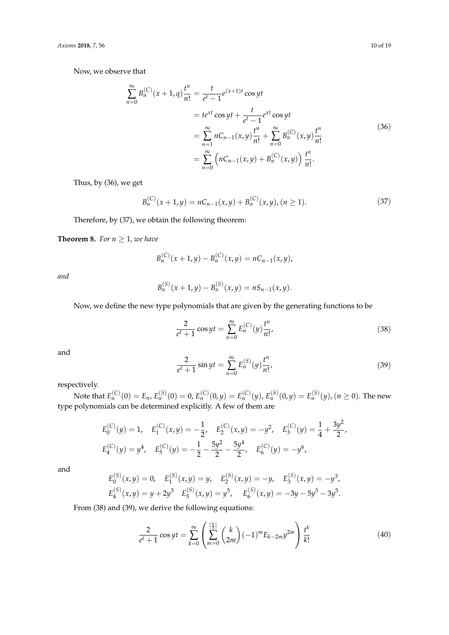Now, we observe that

$$
\sum_{n=0}^{\infty} B_n^{(C)}(x+1,q) \frac{t^n}{n!} = \frac{t}{e^t - 1} e^{(x+1)t} \cos yt
$$
  
=  $te^{xt} \cos yt + \frac{t}{e^t - 1} e^{xt} \cos yt$   
=  $\sum_{n=1}^{\infty} nC_{n-1}(x,y) \frac{t^n}{n!} + \sum_{n=0}^{\infty} B_n^{(C)}(x,y) \frac{t^n}{n!}$   
=  $\sum_{n=0}^{\infty} \left( nC_{n-1}(x,y) + B_n^{(C)}(x,y) \right) \frac{t^n}{n!}.$  (36)

Thus, by (36), we get

$$
B_n^{(C)}(x+1,y) = nC_{n-1}(x,y) + B_n^{(C)}(x,y), (n \ge 1).
$$
 (37)

Therefore, by (37), we obtain the following theorem:

**Theorem 8.** *For*  $n \geq 1$ *, we have* 

$$
B_n^{(C)}(x+1,y)-B_n^{(C)}(x,y)=nC_{n-1}(x,y),
$$

*and*

$$
B_n^{(S)}(x+1,y)-B_n^{(S)}(x,y)=nS_{n-1}(x,y).
$$

Now, we define the new type polynomials that are given by the generating functions to be

$$
\frac{2}{e^t + 1} \cos yt = \sum_{n=0}^{\infty} E_n^{(C)}(y) \frac{t^n}{n!},
$$
\n(38)

and

$$
\frac{2}{e^t + 1} \sin yt = \sum_{n=0}^{\infty} E_n^{(S)}(y) \frac{t^n}{n!},
$$
\n(39)

respectively.

Note that  $E_n^{(C)}(0)=E_n$ ,  $E_n^{(S)}(0)=0$ ,  $E_n^{(C)}(0,y)=E_n^{(C)}(y)$ ,  $E_n^{(S)}(0,y)=E_n^{(S)}(y)$ ,  $(n\geq 0).$  The new type polynomials can be determined explicitly. A few of them are

$$
E_0^{(C)}(y) = 1, \quad E_1^{(C)}(x,y) = -\frac{1}{2}, \quad E_2^{(C)}(x,y) = -y^2, \quad E_3^{(C)}(y) = \frac{1}{4} + \frac{3y^2}{2},
$$
  

$$
E_4^{(C)}(y) = y^4, \quad E_5^{(C)}(y) = -\frac{1}{2} - \frac{5y^2}{2} - \frac{5y^4}{2}, \quad E_6^{(C)}(y) = -y^6,
$$

and

$$
E_0^{(S)}(x,y) = 0, \quad E_1^{(S)}(x,y) = y, \quad E_2^{(S)}(x,y) = -y, \quad E_3^{(S)}(x,y) = -y^3,
$$
  

$$
E_4^{(S)}(x,y) = y + 2y^3 \quad E_5^{(S)}(x,y) = y^5, \quad E_6^{(S)}(x,y) = -3y - 5y^3 - 3y^5.
$$

From (38) and (39), we derive the following equations:

$$
\frac{2}{e^t+1}\cos yt = \sum_{k=0}^{\infty} \left(\sum_{m=0}^{\lfloor \frac{k}{2} \rfloor} {k \choose 2m} (-1)^m E_{k-2m} y^{2m}\right) \frac{t^k}{k!}
$$
(40)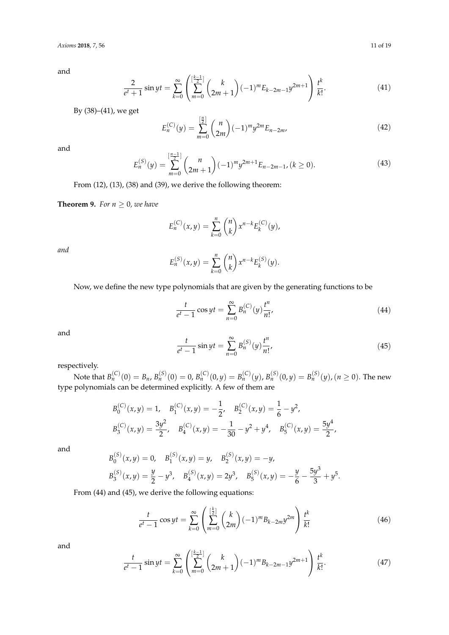$$
\frac{2}{e^t+1}\sin yt = \sum_{k=0}^{\infty} \left(\sum_{m=0}^{\left[\frac{k-1}{2}\right]} \binom{k}{2m+1}(-1)^m E_{k-2m-1}y^{2m+1}\right) \frac{t^k}{k!}.
$$
 (41)

By (38)–(41), we get

$$
E_n^{(C)}(y) = \sum_{m=0}^{\left[\frac{n}{2}\right]} \binom{n}{2m} (-1)^m y^{2m} E_{n-2m},\tag{42}
$$

and

$$
E_n^{(S)}(y) = \sum_{m=0}^{\left[\frac{n-1}{2}\right]} \binom{n}{2m+1} (-1)^m y^{2m+1} E_{n-2m-1}, \quad (k \ge 0).
$$
 (43)

From (12), (13), (38) and (39), we derive the following theorem:

**Theorem 9.** *For*  $n \geq 0$ *, we have* 

$$
E_n^{(C)}(x,y) = \sum_{k=0}^n \binom{n}{k} x^{n-k} E_k^{(C)}(y),
$$

*and*

$$
E_n^{(S)}(x,y) = \sum_{k=0}^n \binom{n}{k} x^{n-k} E_k^{(S)}(y).
$$

Now, we define the new type polynomials that are given by the generating functions to be

$$
\frac{t}{e^t - 1} \cos yt = \sum_{n=0}^{\infty} B_n^{(C)}(y) \frac{t^n}{n!},
$$
\n(44)

and

$$
\frac{t}{e^t - 1} \sin yt = \sum_{n=0}^{\infty} B_n^{(S)}(y) \frac{t^n}{n!},
$$
\n(45)

.

respectively.

Note that  $B_n^{(C)}(0)=B_n$ ,  $B_n^{(S)}(0)=0$ ,  $B_n^{(C)}(0,y)=B_n^{(C)}(y)$ ,  $B_n^{(S)}(0,y)=B_n^{(S)}(y)$ ,  $(n\geq 0).$  The new type polynomials can be determined explicitly. A few of them are

$$
B_0^{(C)}(x,y) = 1, \quad B_1^{(C)}(x,y) = -\frac{1}{2}, \quad B_2^{(C)}(x,y) = \frac{1}{6} - y^2,
$$
  

$$
B_3^{(C)}(x,y) = \frac{3y^2}{2}, \quad B_4^{(C)}(x,y) = -\frac{1}{30} - y^2 + y^4, \quad B_5^{(C)}(x,y) = \frac{5y^4}{2},
$$

and

$$
B_0^{(S)}(x,y) = 0, \quad B_1^{(S)}(x,y) = y, \quad B_2^{(S)}(x,y) = -y,
$$
  

$$
B_3^{(S)}(x,y) = \frac{y}{2} - y^3, \quad B_4^{(S)}(x,y) = 2y^3, \quad B_5^{(S)}(x,y) = -\frac{y}{6} - \frac{5y^3}{3} + y^5
$$

From (44) and (45), we derive the following equations:

$$
\frac{t}{e^t - 1} \cos yt = \sum_{k=0}^{\infty} \left( \sum_{m=0}^{\lfloor \frac{k}{2} \rfloor} {k \choose 2m} (-1)^m B_{k-2m} y^{2m} \right) \frac{t^k}{k!}
$$
(46)

$$
\frac{t}{e^t - 1} \sin yt = \sum_{k=0}^{\infty} \left( \sum_{m=0}^{\left[\frac{k-1}{2}\right]} \binom{k}{2m+1} (-1)^m B_{k-2m-1} y^{2m+1} \right) \frac{t^k}{k!}.
$$
 (47)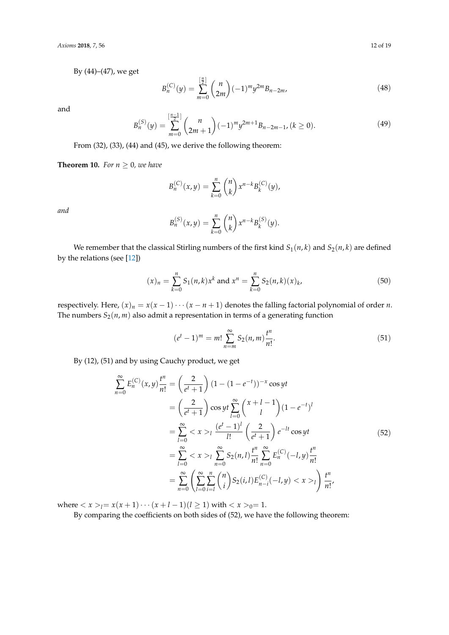By (44)–(47), we get

$$
B_n^{(C)}(y) = \sum_{m=0}^{\left[\frac{n}{2}\right]} \binom{n}{2m} (-1)^m y^{2m} B_{n-2m},\tag{48}
$$

and

$$
B_n^{(S)}(y) = \sum_{m=0}^{\left[\frac{n-1}{2}\right]} \binom{n}{2m+1} (-1)^m y^{2m+1} B_{n-2m-1}, \quad (k \ge 0).
$$
 (49)

From (32), (33), (44) and (45), we derive the following theorem:

**Theorem 10.** *For*  $n \geq 0$ *, we have* 

$$
B_n^{(C)}(x,y) = \sum_{k=0}^n \binom{n}{k} x^{n-k} B_k^{(C)}(y),
$$

*and*

$$
B_n^{(S)}(x,y) = \sum_{k=0}^n {n \choose k} x^{n-k} B_k^{(S)}(y).
$$

We remember that the classical Stirling numbers of the first kind  $S_1(n, k)$  and  $S_2(n, k)$  are defined by the relations (see [\[12\]](#page-18-2))

$$
(x)_n = \sum_{k=0}^n S_1(n,k)x^k \text{ and } x^n = \sum_{k=0}^n S_2(n,k)(x)_k,
$$
 (50)

respectively. Here,  $(x)_n = x(x-1)\cdots(x-n+1)$  denotes the falling factorial polynomial of order *n*. The numbers  $S_2(n, m)$  also admit a representation in terms of a generating function

$$
(et - 1)m = m! \sum_{n=m}^{\infty} S_2(n, m) \frac{t^n}{n!}.
$$
 (51)

By (12), (51) and by using Cauchy product, we get

$$
\sum_{n=0}^{\infty} E_n^{(C)}(x, y) \frac{t^n}{n!} = \left(\frac{2}{e^t + 1}\right) (1 - (1 - e^{-t}))^{-x} \cos yt
$$
  
\n
$$
= \left(\frac{2}{e^t + 1}\right) \cos yt \sum_{l=0}^{\infty} {x + l - 1 \choose l} (1 - e^{-t})^l
$$
  
\n
$$
= \sum_{l=0}^{\infty} < x >_l \frac{(e^t - 1)^l}{l!} \left(\frac{2}{e^t + 1}\right) e^{-lt} \cos yt
$$
  
\n
$$
= \sum_{l=0}^{\infty} < x >_l \sum_{n=0}^{\infty} S_2(n, l) \frac{t^n}{n!} \sum_{n=0}^{\infty} E_n^{(C)}(-l, y) \frac{t^n}{n!}
$$
  
\n
$$
= \sum_{n=0}^{\infty} \left(\sum_{l=0}^{\infty} \sum_{i=l}^n {n \choose i} S_2(i, l) E_{n-i}^{(C)}(-l, y) < x >_l \right) \frac{t^n}{n!},
$$
  
\n(52)

where  $\langle x \rangle_l = x(x+1) \cdots (x+l-1)(l \ge 1)$  with  $\langle x \rangle_l = 1$ .

By comparing the coefficients on both sides of (52), we have the following theorem: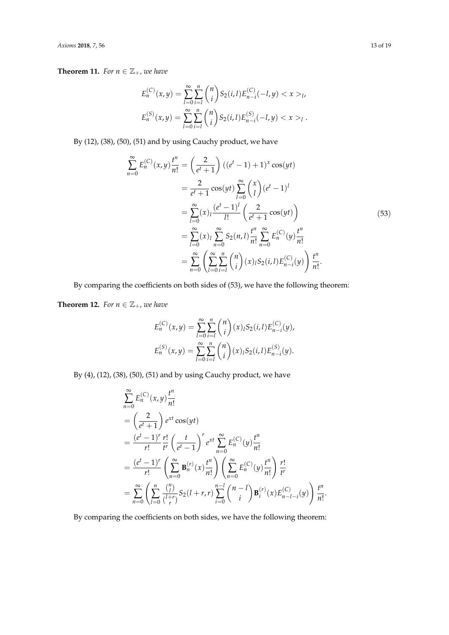**Theorem 11.** *For*  $n \in \mathbb{Z}_+$ *, we have* 

$$
E_n^{(C)}(x,y) = \sum_{l=0}^{\infty} \sum_{i=l}^n {n \choose i} S_2(i,l) E_{n-i}^{(C)}(-l,y) < x >_l,
$$
  

$$
E_n^{(S)}(x,y) = \sum_{l=0}^{\infty} \sum_{i=l}^n {n \choose i} S_2(i,l) E_{n-i}^{(S)}(-l,y) < x >_l.
$$

By (12), (38), (50), (51) and by using Cauchy product, we have

$$
\sum_{n=0}^{\infty} E_n^{(C)}(x, y) \frac{t^n}{n!} = \left(\frac{2}{e^t + 1}\right) ((e^t - 1) + 1)^x \cos(yt)
$$
  
\n
$$
= \frac{2}{e^t + 1} \cos(yt) \sum_{l=0}^{\infty} {x \choose l} (e^t - 1)^l
$$
  
\n
$$
= \sum_{l=0}^{\infty} (x)_l \frac{(e^t - 1)^l}{l!} \left(\frac{2}{e^t + 1} \cos(yt)\right)
$$
  
\n
$$
= \sum_{l=0}^{\infty} (x)_l \sum_{n=0}^{\infty} S_2(n, l) \frac{t^n}{n!} \sum_{n=0}^{\infty} E_n^{(C)}(y) \frac{t^n}{n!}
$$
  
\n
$$
= \sum_{n=0}^{\infty} \left(\sum_{l=0}^{\infty} \sum_{i=l}^n {n \choose i} (x)_l S_2(i, l) E_{n-i}^{(C)}(y) \right) \frac{t^n}{n!}.
$$
 (53)

By comparing the coefficients on both sides of (53), we have the following theorem:

<span id="page-12-0"></span>**Theorem 12.** *For*  $n \in \mathbb{Z}_+$ *, we have* 

$$
E_n^{(C)}(x,y) = \sum_{l=0}^{\infty} \sum_{i=l}^n {n \choose i} (x)_l S_2(i,l) E_{n-i}^{(C)}(y),
$$
  

$$
E_n^{(S)}(x,y) = \sum_{l=0}^{\infty} \sum_{i=l}^n {n \choose i} (x)_l S_2(i,l) E_{n-i}^{(S)}(y).
$$

By (4), (12), (38), (50), (51) and by using Cauchy product, we have

$$
\sum_{n=0}^{\infty} E_n^{(C)}(x, y) \frac{t^n}{n!}
$$
\n
$$
= \left(\frac{2}{e^t + 1}\right) e^{xt} \cos(yt)
$$
\n
$$
= \frac{(e^t - 1)^r}{r!} \frac{r!}{t^r} \left(\frac{t}{e^t - 1}\right)^r e^{xt} \sum_{n=0}^{\infty} E_n^{(C)}(y) \frac{t^n}{n!}
$$
\n
$$
= \frac{(e^t - 1)^r}{r!} \left(\sum_{n=0}^{\infty} \mathbf{B}_n^{(r)}(x) \frac{t^n}{n!} \right) \left(\sum_{n=0}^{\infty} E_n^{(C)}(y) \frac{t^n}{n!} \right) \frac{r!}{t^r}
$$
\n
$$
= \sum_{n=0}^{\infty} \left(\sum_{l=0}^n \frac{\binom{n}{l}}{\binom{l+r}{r}} S_2(l+r, r) \sum_{i=0}^{n-l} \binom{n-l}{i} \mathbf{B}_i^{(r)}(x) E_{n-l-i}^{(C)}(y) \right) \frac{t^n}{n!}.
$$

By comparing the coefficients on both sides, we have the following theorem: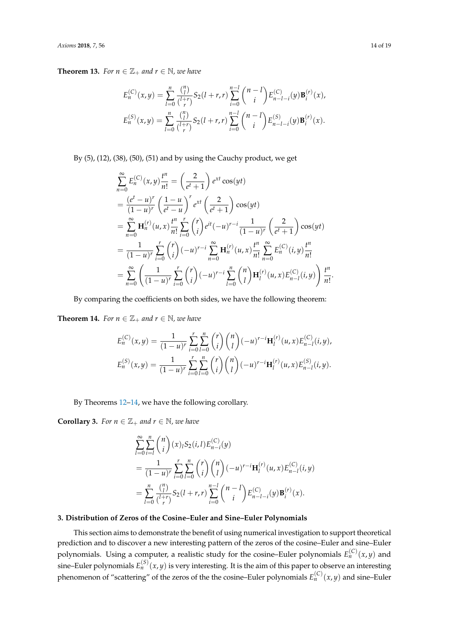**Theorem 13.** *For*  $n \in \mathbb{Z}_+$  *and*  $r \in \mathbb{N}$ *, we have* 

$$
E_n^{(C)}(x,y) = \sum_{l=0}^n \frac{\binom{n}{l}}{\binom{l+r}{r}} S_2(l+r,r) \sum_{i=0}^{n-l} \binom{n-l}{i} E_{n-l-i}^{(C)}(y) \mathbf{B}_i^{(r)}(x),
$$
  

$$
E_n^{(S)}(x,y) = \sum_{l=0}^n \frac{\binom{n}{l}}{\binom{l+r}{r}} S_2(l+r,r) \sum_{i=0}^{n-l} \binom{n-l}{i} E_{n-l-i}^{(S)}(y) \mathbf{B}_i^{(r)}(x).
$$

By (5), (12), (38), (50), (51) and by using the Cauchy product, we get

$$
\sum_{n=0}^{\infty} E_n^{(C)}(x, y) \frac{t^n}{n!} = \left(\frac{2}{e^t + 1}\right) e^{xt} \cos(yt)
$$
  
\n
$$
= \frac{(e^t - u)^r}{(1 - u)^r} \left(\frac{1 - u}{e^t - u}\right)^r e^{xt} \left(\frac{2}{e^t + 1}\right) \cos(yt)
$$
  
\n
$$
= \sum_{n=0}^{\infty} \mathbf{H}_n^{(r)}(u, x) \frac{t^n}{n!} \sum_{i=0}^r {r \choose i} e^{it} (-u)^{r-i} \frac{1}{(1 - u)^r} \left(\frac{2}{e^t + 1}\right) \cos(yt)
$$
  
\n
$$
= \frac{1}{(1 - u)^r} \sum_{i=0}^r {r \choose i} (-u)^{r-i} \sum_{n=0}^{\infty} \mathbf{H}_n^{(r)}(u, x) \frac{t^n}{n!} \sum_{n=0}^{\infty} E_n^{(C)}(i, y) \frac{t^n}{n!}
$$
  
\n
$$
= \sum_{n=0}^{\infty} \left(\frac{1}{(1 - u)^r} \sum_{i=0}^r {r \choose i} (-u)^{r-i} \sum_{l=0}^n {n \choose l} \mathbf{H}_l^{(r)}(u, x) E_{n-l}^{(C)}(i, y) \right) \frac{t^n}{n!}.
$$

By comparing the coefficients on both sides, we have the following theorem:

<span id="page-13-0"></span>**Theorem 14.** *For*  $n \in \mathbb{Z}_+$  *and*  $r \in \mathbb{N}$ *, we have* 

$$
E_n^{(C)}(x,y) = \frac{1}{(1-u)^r} \sum_{i=0}^r \sum_{l=0}^n {r \choose i} {n \choose l} (-u)^{r-i} \mathbf{H}_l^{(r)}(u,x) E_{n-l}^{(C)}(i,y),
$$
  

$$
E_n^{(S)}(x,y) = \frac{1}{(1-u)^r} \sum_{i=0}^r \sum_{l=0}^n {r \choose i} {n \choose l} (-u)^{r-i} \mathbf{H}_l^{(r)}(u,x) E_{n-l}^{(S)}(i,y).
$$

By Theorems [12](#page-12-0)[–14,](#page-13-0) we have the following corollary.

**Corollary 3.** *For*  $n \in \mathbb{Z}_+$  *and*  $r \in \mathbb{N}$ *, we have* 

$$
\sum_{l=0}^{\infty} \sum_{i=l}^{n} {n \choose i} (x)_l S_2(i,l) E_{n-i}^{(C)}(y)
$$
  
= 
$$
\frac{1}{(1-u)^r} \sum_{i=0}^r \sum_{l=0}^n {r \choose i} {n \choose l} (-u)^{r-i} \mathbf{H}_l^{(r)}(u,x) E_{n-l}^{(C)}(i,y)
$$
  
= 
$$
\sum_{l=0}^n \frac{{n \choose l}}{l+r \choose r} S_2(l+r,r) \sum_{i=0}^{n-l} {n-l \choose i} E_{n-l-i}^{(C)}(y) \mathbf{B}_i^{(r)}(x).
$$

## **3. Distribution of Zeros of the Cosine–Euler and Sine–Euler Polynomials**

This section aims to demonstrate the benefit of using numerical investigation to support theoretical prediction and to discover a new interesting pattern of the zeros of the cosine–Euler and sine–Euler polynomials. Using a computer, a realistic study for the cosine–Euler polynomials  $E_n^{(\mathsf{C})}(x,y)$  and sine–Euler polynomials  $E_n^{(S)}(x,y)$  is very interesting. It is the aim of this paper to observe an interesting phenomenon of "scattering" of the zeros of the the cosine–Euler polynomials  $E_n^{(C)}(x,y)$  and sine–Euler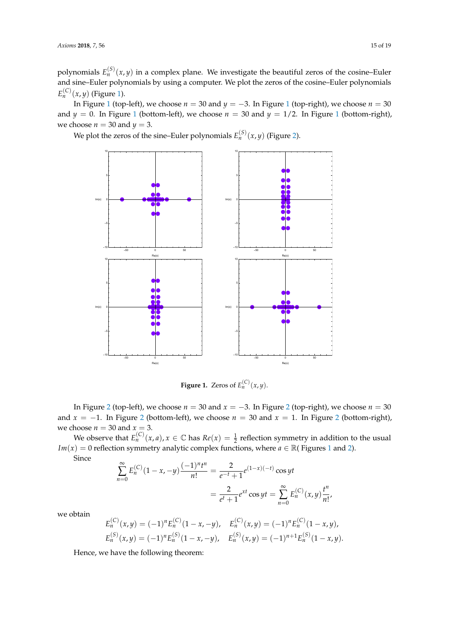polynomials  $E_n^{(S)}(x,y)$  in a complex plane. We investigate the beautiful zeros of the cosine–Euler and sine–Euler polynomials by using a computer. We plot the zeros of the cosine–Euler polynomials  $E_n^{(C)}(x, y)$  (Figure [1\)](#page-14-0).

In Figure [1](#page-14-0) (top-left), we choose  $n = 30$  and  $y = -3$ . In Figure 1 (top-right), we choose  $n = 30$ and  $y = 0$ . In Figure [1](#page-14-0) (bottom-left), we choose  $n = 30$  and  $y = 1/2$ . In Figure 1 (bottom-right), we choose  $n = 30$  and  $y = 3$ .

<span id="page-14-0"></span>We plot the zeros of the sine–Euler polynomials  $E_n^{(S)}(x,y)$  (Figure [2\)](#page-15-0).



**Figure 1.** Zeros of  $E_n^{(C)}(x, y)$ .

In Figure [2](#page-15-0) (top-left), we choose  $n = 30$  and  $x = −3$ . In Figure 2 (top-right), we choose  $n = 30$ and  $x = -1$ . In Figure [2](#page-15-0) (bottom-left), we choose  $n = 30$  and  $x = 1$ . In Figure 2 (bottom-right), we choose  $n = 30$  and  $x = 3$ .

We observe that  $E_n^{(C)}(x,a)$ ,  $x \in \mathbb{C}$  has  $Re(x) = \frac{1}{2}$  reflection symmetry in addition to the usual *Im*(*x*) = 0 reflection symmetry analytic complex functions, where *a*  $\in \mathbb{R}$ ( Figures [1](#page-14-0) and [2\)](#page-15-0).

Since

$$
\sum_{n=0}^{\infty} E_n^{(C)} (1 - x, -y) \frac{(-1)^n t^n}{n!} = \frac{2}{e^{-t} + 1} e^{(1-x)(-t)} \cos yt
$$

$$
= \frac{2}{e^t + 1} e^{xt} \cos yt = \sum_{n=0}^{\infty} E_n^{(C)} (x, y) \frac{t^n}{n!},
$$

we obtain

$$
E_n^{(C)}(x,y) = (-1)^n E_n^{(C)}(1-x,-y), \quad E_n^{(C)}(x,y) = (-1)^n E_n^{(C)}(1-x,y),
$$
  

$$
E_n^{(S)}(x,y) = (-1)^n E_n^{(S)}(1-x,-y), \quad E_n^{(S)}(x,y) = (-1)^{n+1} E_n^{(S)}(1-x,y).
$$

Hence, we have the following theorem: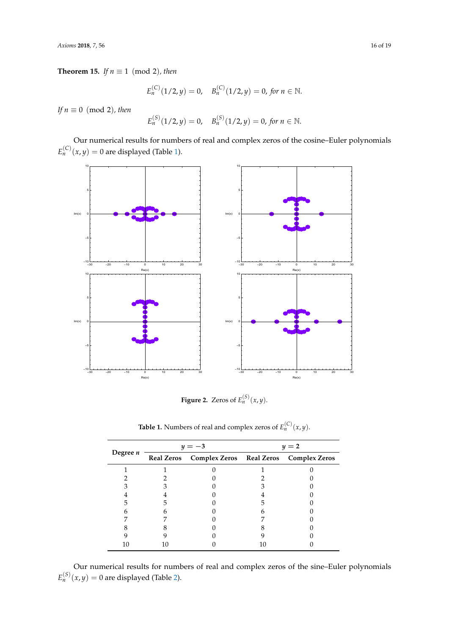**Theorem 15.** *If*  $n \equiv 1 \pmod{2}$ *, then* 

$$
E_n^{(C)}(1/2, y) = 0, \quad B_n^{(C)}(1/2, y) = 0, \text{ for } n \in \mathbb{N}.
$$

*If*  $n \equiv 0 \pmod{2}$ *, then* 

$$
E_n^{(S)}(1/2, y) = 0, \quad B_n^{(S)}(1/2, y) = 0, \text{ for } n \in \mathbb{N}.
$$

Our numerical results for numbers of real and complex zeros of the cosine–Euler polynomials  $E_n^{(C)}(x,y) = 0$  are displayed (Table [1\)](#page-15-1).

<span id="page-15-0"></span>

**Figure 2.** Zeros of  $E_n^{(S)}(x,y)$ .

<span id="page-15-1"></span>

|          | $y=-3$                                            | $y=2$ |  |  |
|----------|---------------------------------------------------|-------|--|--|
| Degree n | Real Zeros Complex Zeros Real Zeros Complex Zeros |       |  |  |
|          |                                                   |       |  |  |
|          |                                                   |       |  |  |
|          |                                                   |       |  |  |
|          |                                                   |       |  |  |
|          |                                                   |       |  |  |
|          |                                                   |       |  |  |
|          |                                                   |       |  |  |
|          |                                                   |       |  |  |
|          |                                                   |       |  |  |
|          |                                                   |       |  |  |
|          |                                                   |       |  |  |

**Table 1.** Numbers of real and complex zeros of  $E_n^{(C)}(x, y)$ .

Our numerical results for numbers of real and complex zeros of the sine–Euler polynomials  $E_n^{(S)}(x,y) = 0$  are displayed (Table [2\)](#page-16-0).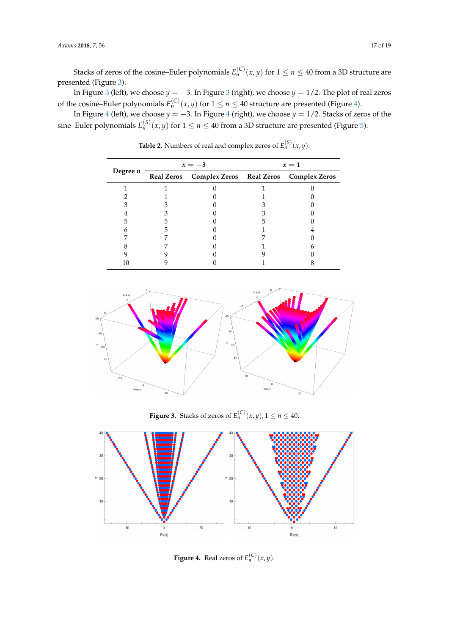Stacks of zeros of the cosine–Euler polynomials  $E_n^{(C)}(x,y)$  for  $1 \leq n \leq 40$  from a 3D structure are presented (Figure [3\)](#page-16-1).

In Figure [3](#page-16-1) (left), we choose  $y = -3$ . In Figure 3 (right), we choose  $y = 1/2$ . The plot of real zeros of the cosine–Euler polynomials  $E_n^{(C)}(x, y)$  for  $1 \le n \le 40$  structure are presented (Figure [4\)](#page-16-2).

<span id="page-16-0"></span>In Figure [4](#page-16-2) (left), we choose *y* = −3. In Figure [4](#page-16-2) (right), we choose *y* = 1/2. Stacks of zeros of the sine–Euler polynomials  $E_n^{(S)}(x,y)$  for  $1 \leq n \leq 40$  from a 3D structure are presented (Figure [5\)](#page-17-0).

| Degree $n$ | $x=-3$                                            | $x=1$ |  |  |
|------------|---------------------------------------------------|-------|--|--|
|            | Real Zeros Complex Zeros Real Zeros Complex Zeros |       |  |  |
|            |                                                   |       |  |  |
|            |                                                   |       |  |  |
|            |                                                   |       |  |  |
|            |                                                   |       |  |  |
|            |                                                   |       |  |  |
|            |                                                   |       |  |  |
|            |                                                   |       |  |  |
|            |                                                   |       |  |  |
|            |                                                   |       |  |  |
|            |                                                   |       |  |  |

**Table 2.** Numbers of real and complex zeros of  $E_n^{(S)}(x, y)$ .

<span id="page-16-1"></span>

**Figure 3.** Stacks of zeros of  $E_n^{(C)}(x, y)$ ,  $1 \le n \le 40$ .

<span id="page-16-2"></span>

**Figure 4.** Real zeros of  $E_n^{(C)}(x, y)$ .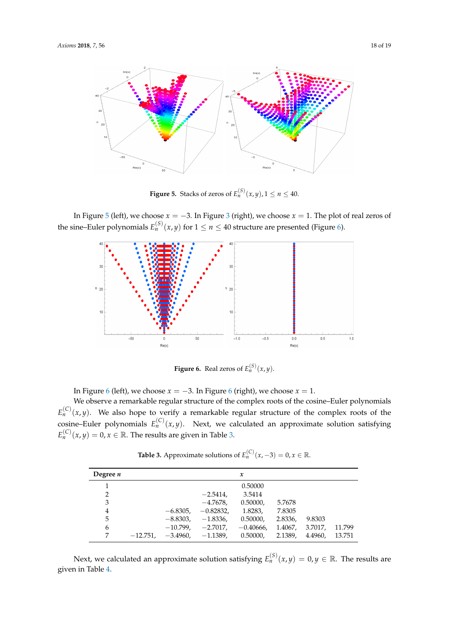<span id="page-17-0"></span>

**Figure 5.** Stacks of zeros of  $E_n^{(S)}(x, y)$ ,  $1 \le n \le 40$ .

<span id="page-17-1"></span>In Figure [5](#page-17-0) (left), we choose  $x = -3$  $x = -3$ . In Figure 3 (right), we choose  $x = 1$ . The plot of real zeros of the sine–Euler polynomials  $E_n^{(S)}(x, y)$  for  $1 \le n \le 40$  structure are presented (Figure [6\)](#page-17-1).



**Figure 6.** Real zeros of  $E_n^{(S)}(x, y)$ .

In Figure [6](#page-17-1) (left), we choose  $x = -3$ . In Figure 6 (right), we choose  $x = 1$ .

We observe a remarkable regular structure of the complex roots of the cosine–Euler polynomials  $E_n^{(C)}(x,y)$ . We also hope to verify a remarkable regular structure of the complex roots of the cosine–Euler polynomials  $E_n^{(C)}(x,y)$ . Next, we calculated an approximate solution satisfying  $E_n^{(\mathcal{C})}(x,y) = 0, x \in \mathbb{R}.$  The results are given in Table [3.](#page-17-2)

**Table 3.** Approximate solutions of  $E_n^{(C)}(x, -3) = 0, x \in \mathbb{R}$ .

<span id="page-17-2"></span>

| Degree $n$ |            |            |             | $\boldsymbol{\mathcal{X}}$ |         |         |        |
|------------|------------|------------|-------------|----------------------------|---------|---------|--------|
|            |            |            |             | 0.50000                    |         |         |        |
| 2          |            |            | $-2.5414.$  | 3.5414                     |         |         |        |
| 3          |            |            | $-4.7678$   | 0.50000,                   | 5.7678  |         |        |
| 4          |            | $-6.8305.$ | $-0.82832.$ | 1.8283,                    | 7.8305  |         |        |
| 5          |            | $-8.8303,$ | $-1.8336,$  | 0.50000,                   | 2.8336, | 9.8303  |        |
| 6          |            | $-10.799.$ | $-2.7017.$  | $-0.40666$ ,               | 1.4067. | 3.7017, | 11.799 |
| 7          | $-12.751,$ | $-3.4960.$ | $-1.1389.$  | 0.50000.                   | 2.1389. | 4.4960. | 13.751 |

Next, we calculated an approximate solution satisfying  $E_n^{(S)}(x,y) = 0, y \in \mathbb{R}$ . The results are given in Table [4.](#page-18-3)